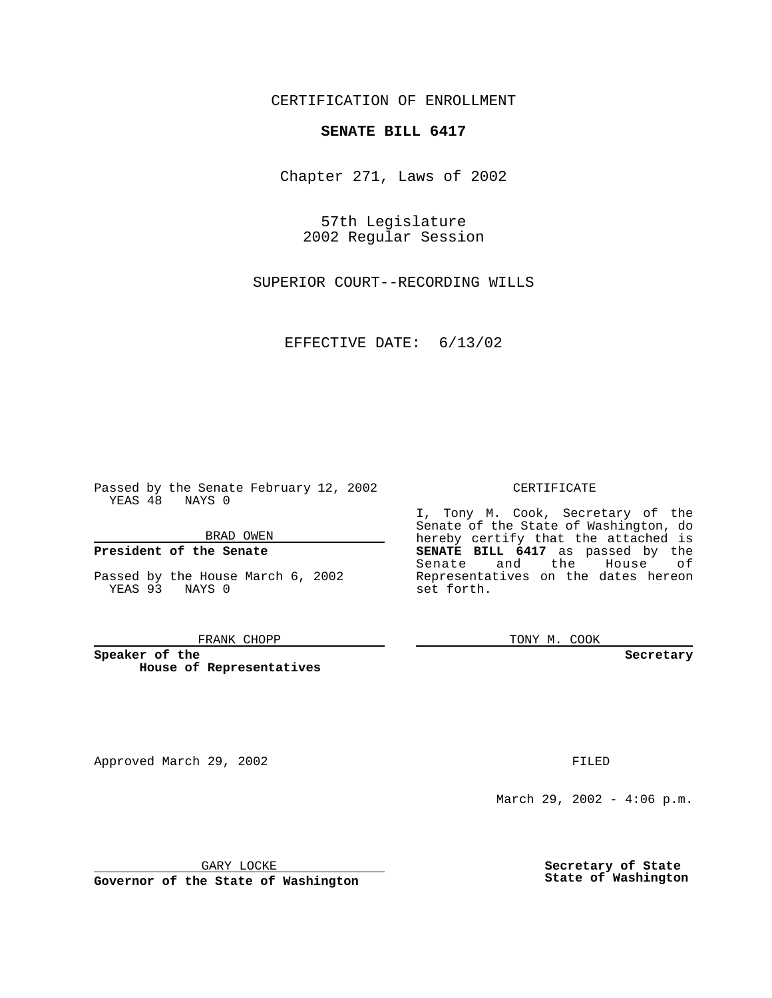CERTIFICATION OF ENROLLMENT

# **SENATE BILL 6417**

Chapter 271, Laws of 2002

57th Legislature 2002 Regular Session

SUPERIOR COURT--RECORDING WILLS

EFFECTIVE DATE: 6/13/02

Passed by the Senate February 12, 2002 YEAS 48 NAYS 0

BRAD OWEN

### **President of the Senate**

Passed by the House March 6, 2002 YEAS 93 NAYS 0

#### FRANK CHOPP

**Speaker of the House of Representatives**

Approved March 29, 2002 **FILED** 

### CERTIFICATE

I, Tony M. Cook, Secretary of the Senate of the State of Washington, do hereby certify that the attached is **SENATE BILL 6417** as passed by the Senate and the House of Representatives on the dates hereon set forth.

TONY M. COOK

**Secretary**

March 29, 2002 - 4:06 p.m.

GARY LOCKE

**Governor of the State of Washington**

**Secretary of State State of Washington**